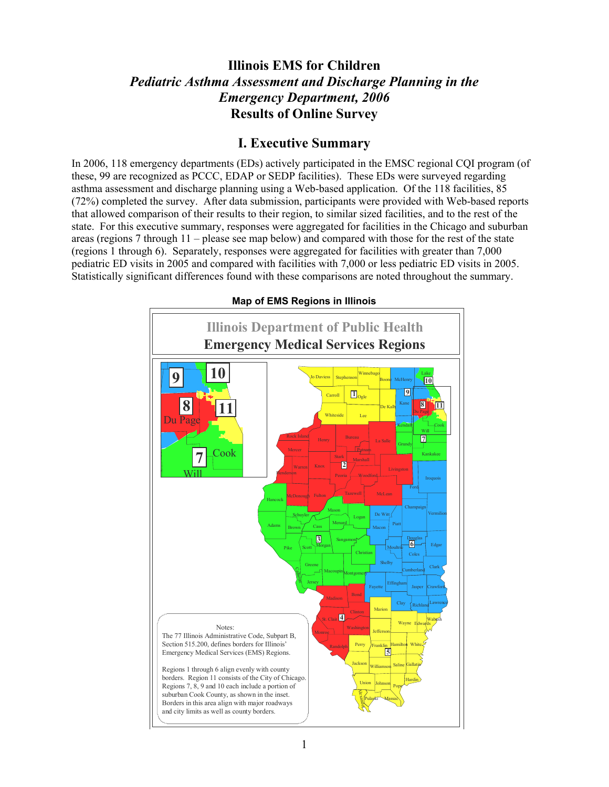# **Illinois EMS for Children**  *Pediatric Asthma Assessment and Discharge Planning in the Emergency Department, 2006*  **Results of Online Survey**

## **I. Executive Summary**

In 2006, 118 emergency departments (EDs) actively participated in the EMSC regional CQI program (of these, 99 are recognized as PCCC, EDAP or SEDP facilities). These EDs were surveyed regarding asthma assessment and discharge planning using a Web-based application. Of the 118 facilities, 85 (72%) completed the survey. After data submission, participants were provided with Web-based reports that allowed comparison of their results to their region, to similar sized facilities, and to the rest of the state. For this executive summary, responses were aggregated for facilities in the Chicago and suburban areas (regions 7 through 11 – please see map below) and compared with those for the rest of the state (regions 1 through 6). Separately, responses were aggregated for facilities with greater than 7,000 pediatric ED visits in 2005 and compared with facilities with 7,000 or less pediatric ED visits in 2005. Statistically significant differences found with these comparisons are noted throughout the summary.



**Map of EMS Regions in Illinois**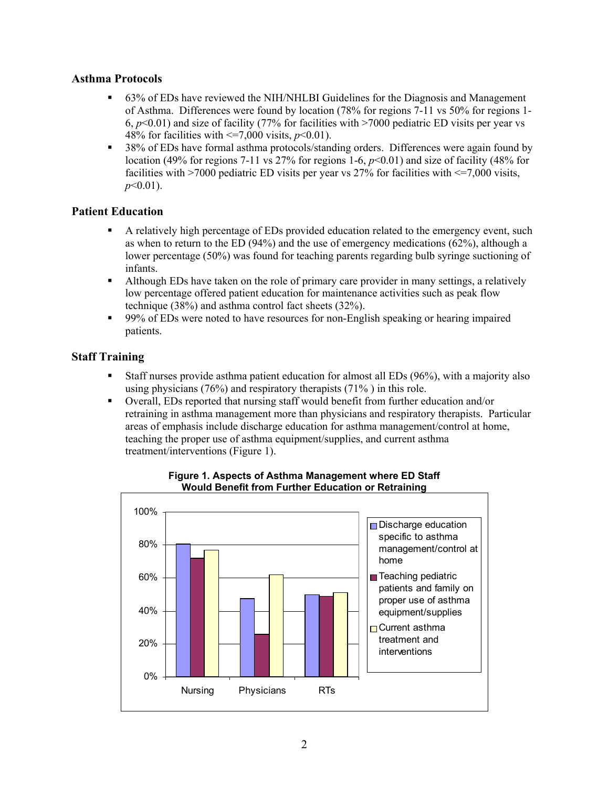## **Asthma Protocols**

- 63% of EDs have reviewed the NIH/NHLBI Guidelines for the Diagnosis and Management of Asthma. Differences were found by location (78% for regions 7-11 vs 50% for regions 1- 6,  $p<0.01$ ) and size of facility (77% for facilities with  $>7000$  pediatric ED visits per year vs 48% for facilities with  $\leq 7,000$  visits,  $p \leq 0.01$ ).
- <sup>38%</sup> of EDs have formal asthma protocols/standing orders. Differences were again found by location (49% for regions 7-11 vs 27% for regions 1-6,  $p<0.01$ ) and size of facility (48% for facilities with  $>7000$  pediatric ED visits per year vs 27% for facilities with  $\leq$  7,000 visits, *p*<0.01).

### **Patient Education**

- A relatively high percentage of EDs provided education related to the emergency event, such as when to return to the ED (94%) and the use of emergency medications (62%), although a lower percentage (50%) was found for teaching parents regarding bulb syringe suctioning of infants.
- Although EDs have taken on the role of primary care provider in many settings, a relatively low percentage offered patient education for maintenance activities such as peak flow technique (38%) and asthma control fact sheets (32%).
- 99% of EDs were noted to have resources for non-English speaking or hearing impaired patients.

### **Staff Training**

- Staff nurses provide asthma patient education for almost all EDs (96%), with a majority also using physicians (76%) and respiratory therapists (71% ) in this role.
- Overall, EDs reported that nursing staff would benefit from further education and/or retraining in asthma management more than physicians and respiratory therapists. Particular areas of emphasis include discharge education for asthma management/control at home, teaching the proper use of asthma equipment/supplies, and current asthma treatment/interventions (Figure 1).



#### **Figure 1. Aspects of Asthma Management where ED Staff Would Benefit from Further Education or Retraining**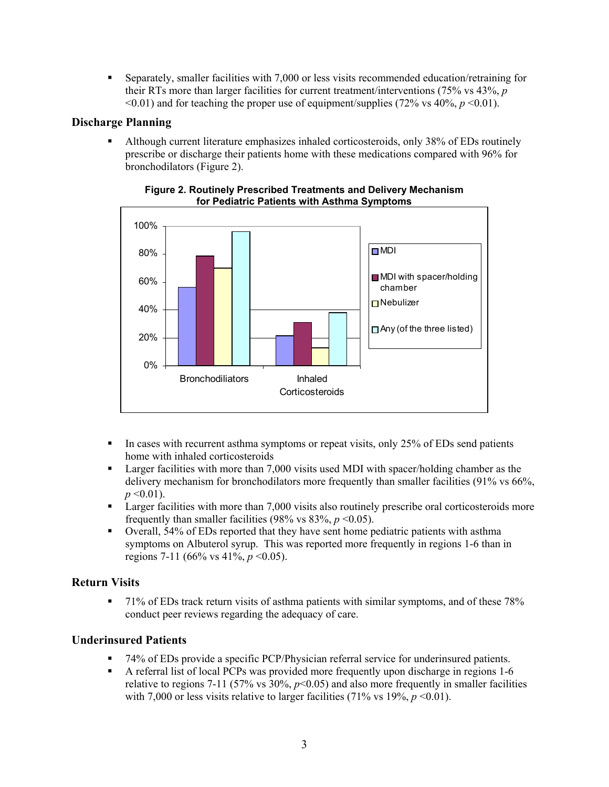Separately, smaller facilities with 7,000 or less visits recommended education/retraining for their RTs more than larger facilities for current treatment/interventions (75% vs 43%, *p*  $\leq 0.01$  and for teaching the proper use of equipment/supplies (72% vs 40%, *p*  $\leq 0.01$ ).

## **Discharge Planning**

 Although current literature emphasizes inhaled corticosteroids, only 38% of EDs routinely prescribe or discharge their patients home with these medications compared with 96% for bronchodilators (Figure 2).



#### **Figure 2. Routinely Prescribed Treatments and Delivery Mechanism for Pediatric Patients with Asthma Symptoms**

- $\blacksquare$  In cases with recurrent asthma symptoms or repeat visits, only 25% of EDs send patients home with inhaled corticosteroids
- **Example 1** Larger facilities with more than 7,000 visits used MDI with spacer/holding chamber as the delivery mechanism for bronchodilators more frequently than smaller facilities (91% vs 66%,  $p \leq 0.01$ ).
- **Example 1** Larger facilities with more than 7,000 visits also routinely prescribe oral corticosteroids more frequently than smaller facilities (98% vs  $83\%$ ,  $p \le 0.05$ ).
- Overall, 54% of EDs reported that they have sent home pediatric patients with asthma symptoms on Albuterol syrup. This was reported more frequently in regions 1-6 than in regions 7-11 (66% vs 41%, *p* <0.05).

## **Return Visits**

71% of EDs track return visits of asthma patients with similar symptoms, and of these 78% conduct peer reviews regarding the adequacy of care.

#### **Underinsured Patients**

- 74% of EDs provide a specific PCP/Physician referral service for underinsured patients.
- A referral list of local PCPs was provided more frequently upon discharge in regions 1-6 relative to regions 7-11 (57% vs  $30\%$ ,  $p<0.05$ ) and also more frequently in smaller facilities with 7,000 or less visits relative to larger facilities (71% vs 19%,  $p \le 0.01$ ).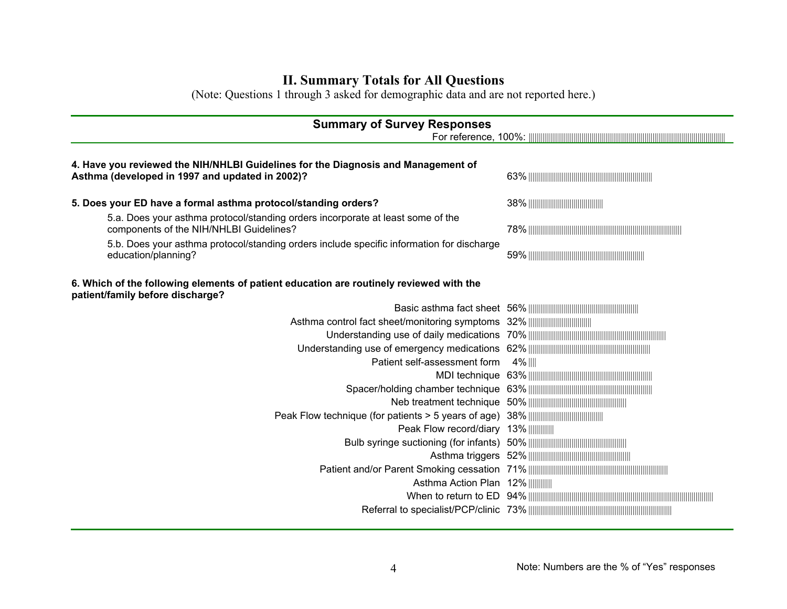# **II. Summary Totals for All Questions**

(Note: Questions 1 through 3 asked for demographic data and are not reported here.)

| <b>Summary of Survey Responses</b>                                                                                                   |         |  |
|--------------------------------------------------------------------------------------------------------------------------------------|---------|--|
| 4. Have you reviewed the NIH/NHLBI Guidelines for the Diagnosis and Management of<br>Asthma (developed in 1997 and updated in 2002)? |         |  |
| 5. Does your ED have a formal asthma protocol/standing orders?                                                                       |         |  |
| 5.a. Does your asthma protocol/standing orders incorporate at least some of the<br>components of the NIH/NHLBI Guidelines?           |         |  |
| 5.b. Does your asthma protocol/standing orders include specific information for discharge<br>education/planning?                     |         |  |
| 6. Which of the following elements of patient education are routinely reviewed with the<br>patient/family before discharge?          |         |  |
|                                                                                                                                      |         |  |
|                                                                                                                                      |         |  |
|                                                                                                                                      |         |  |
|                                                                                                                                      |         |  |
| Patient self-assessment form                                                                                                         | 4%    ∣ |  |
|                                                                                                                                      |         |  |
|                                                                                                                                      |         |  |
|                                                                                                                                      |         |  |
|                                                                                                                                      |         |  |
| Peak Flow record/diary 13%                                                                                                           |         |  |
|                                                                                                                                      |         |  |
|                                                                                                                                      |         |  |
|                                                                                                                                      |         |  |
| Asthma Action Plan 12%                                                                                                               |         |  |
|                                                                                                                                      |         |  |
|                                                                                                                                      |         |  |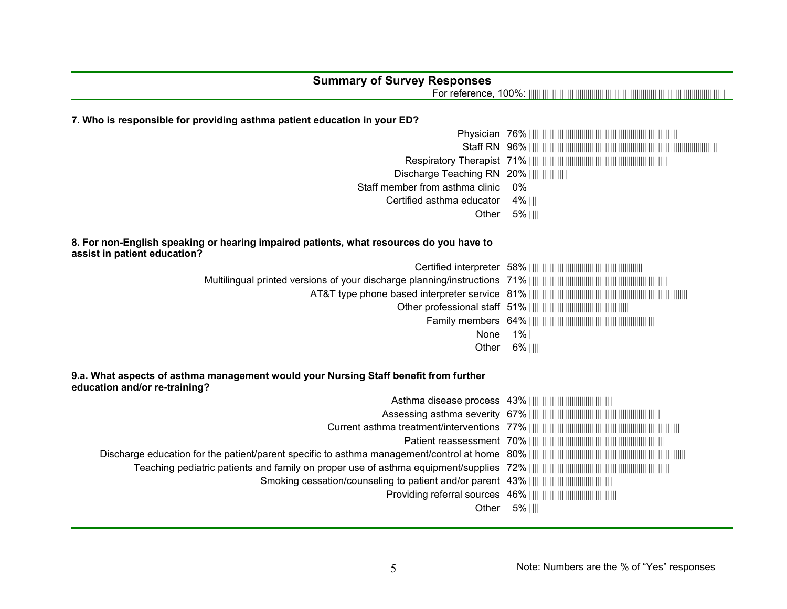| <b>Summary of Survey Responses</b>                                                                                      |                                                                                                                                                                                                                                                                                                                                                                                                                                                                                                                                        |
|-------------------------------------------------------------------------------------------------------------------------|----------------------------------------------------------------------------------------------------------------------------------------------------------------------------------------------------------------------------------------------------------------------------------------------------------------------------------------------------------------------------------------------------------------------------------------------------------------------------------------------------------------------------------------|
|                                                                                                                         |                                                                                                                                                                                                                                                                                                                                                                                                                                                                                                                                        |
|                                                                                                                         |                                                                                                                                                                                                                                                                                                                                                                                                                                                                                                                                        |
| 7. Who is responsible for providing asthma patient education in your ED?                                                |                                                                                                                                                                                                                                                                                                                                                                                                                                                                                                                                        |
|                                                                                                                         | ${\bf Physician} \quad 76\% \; \color{red}{\textbf{   } \color{green}{\textbf{  } \color{green}{\textbf{  } \color{green}{\textbf{  } \color{green}{\textbf{  } \color{green}{\textbf{  } \color{green}{\textbf{  } \color{green}{\textbf{  } \color{green}{\textbf{  } \color{green}{\textbf{  } \color{green}{\textbf{  } \color{green}{\textbf{  } \color{green}{\textbf{  } \color{green}{\textbf{  } \color{green}{\textbf{  } \color{green}{\textbf{  } \color{green}{\textbf{  } \color{green}{\textbf{  } \color{green}{\text$ |
|                                                                                                                         |                                                                                                                                                                                                                                                                                                                                                                                                                                                                                                                                        |
|                                                                                                                         |                                                                                                                                                                                                                                                                                                                                                                                                                                                                                                                                        |
| Discharge Teaching RN 20%                                                                                               |                                                                                                                                                                                                                                                                                                                                                                                                                                                                                                                                        |
| Staff member from asthma clinic                                                                                         | 0%                                                                                                                                                                                                                                                                                                                                                                                                                                                                                                                                     |
| Certified asthma educator                                                                                               | 4%                                                                                                                                                                                                                                                                                                                                                                                                                                                                                                                                     |
| Other                                                                                                                   | 5%                                                                                                                                                                                                                                                                                                                                                                                                                                                                                                                                     |
|                                                                                                                         |                                                                                                                                                                                                                                                                                                                                                                                                                                                                                                                                        |
| 8. For non-English speaking or hearing impaired patients, what resources do you have to<br>assist in patient education? |                                                                                                                                                                                                                                                                                                                                                                                                                                                                                                                                        |
|                                                                                                                         |                                                                                                                                                                                                                                                                                                                                                                                                                                                                                                                                        |
|                                                                                                                         |                                                                                                                                                                                                                                                                                                                                                                                                                                                                                                                                        |
|                                                                                                                         |                                                                                                                                                                                                                                                                                                                                                                                                                                                                                                                                        |
|                                                                                                                         |                                                                                                                                                                                                                                                                                                                                                                                                                                                                                                                                        |
|                                                                                                                         |                                                                                                                                                                                                                                                                                                                                                                                                                                                                                                                                        |
| None                                                                                                                    | 1%                                                                                                                                                                                                                                                                                                                                                                                                                                                                                                                                     |
| Other                                                                                                                   | 6%                                                                                                                                                                                                                                                                                                                                                                                                                                                                                                                                     |
|                                                                                                                         |                                                                                                                                                                                                                                                                                                                                                                                                                                                                                                                                        |
| 9.a. What aspects of asthma management would your Nursing Staff benefit from further<br>education and/or re-training?   |                                                                                                                                                                                                                                                                                                                                                                                                                                                                                                                                        |
|                                                                                                                         |                                                                                                                                                                                                                                                                                                                                                                                                                                                                                                                                        |
|                                                                                                                         |                                                                                                                                                                                                                                                                                                                                                                                                                                                                                                                                        |
|                                                                                                                         |                                                                                                                                                                                                                                                                                                                                                                                                                                                                                                                                        |
|                                                                                                                         |                                                                                                                                                                                                                                                                                                                                                                                                                                                                                                                                        |
|                                                                                                                         |                                                                                                                                                                                                                                                                                                                                                                                                                                                                                                                                        |
|                                                                                                                         |                                                                                                                                                                                                                                                                                                                                                                                                                                                                                                                                        |
|                                                                                                                         |                                                                                                                                                                                                                                                                                                                                                                                                                                                                                                                                        |
|                                                                                                                         |                                                                                                                                                                                                                                                                                                                                                                                                                                                                                                                                        |
| Other                                                                                                                   | 5%                                                                                                                                                                                                                                                                                                                                                                                                                                                                                                                                     |
|                                                                                                                         |                                                                                                                                                                                                                                                                                                                                                                                                                                                                                                                                        |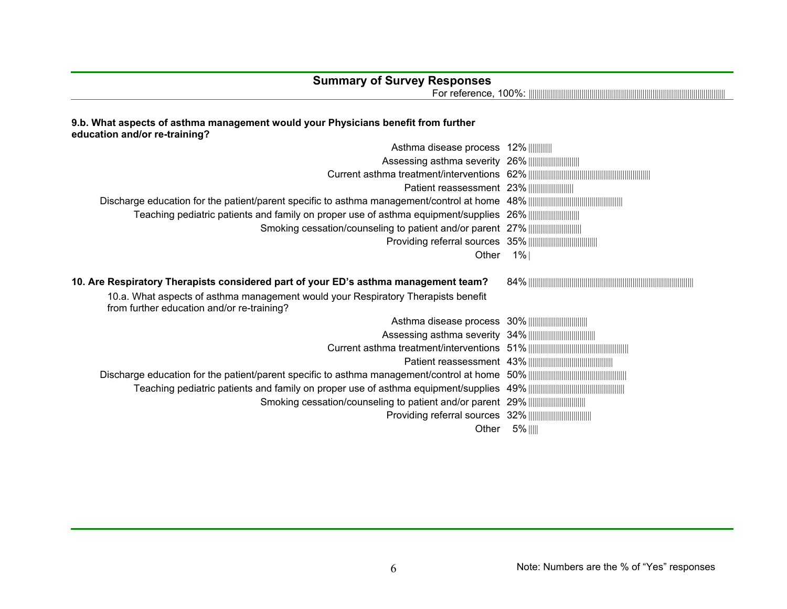# **Summary of Survey Responses**

For reference, 100%: |||||||||||||||||||||||||||||||||||||||||||||||||||||||||||||||||||||||||||||||||||||||||||||||||||| .

#### **9.b. What aspects of asthma management would your Physicians benefit from further education and/or re-training?**

| Asthma disease process 12%                                                                                                                                                                                             |       |
|------------------------------------------------------------------------------------------------------------------------------------------------------------------------------------------------------------------------|-------|
|                                                                                                                                                                                                                        |       |
|                                                                                                                                                                                                                        |       |
| Patient reassessment 23%                                                                                                                                                                                               |       |
|                                                                                                                                                                                                                        |       |
| Teaching pediatric patients and family on proper use of asthma equipment/supplies 26% [[[[[[[[[[[[[[[[[[[[[[                                                                                                           |       |
|                                                                                                                                                                                                                        |       |
|                                                                                                                                                                                                                        |       |
| Other                                                                                                                                                                                                                  | 1%    |
| 10. Are Respiratory Therapists considered part of your ED's asthma management team?<br>10.a. What aspects of asthma management would your Respiratory Therapists benefit<br>from further education and/or re-training? |       |
|                                                                                                                                                                                                                        |       |
|                                                                                                                                                                                                                        |       |
|                                                                                                                                                                                                                        |       |
|                                                                                                                                                                                                                        |       |
|                                                                                                                                                                                                                        |       |
|                                                                                                                                                                                                                        |       |
|                                                                                                                                                                                                                        |       |
|                                                                                                                                                                                                                        |       |
|                                                                                                                                                                                                                        |       |
| Other                                                                                                                                                                                                                  | $5\%$ |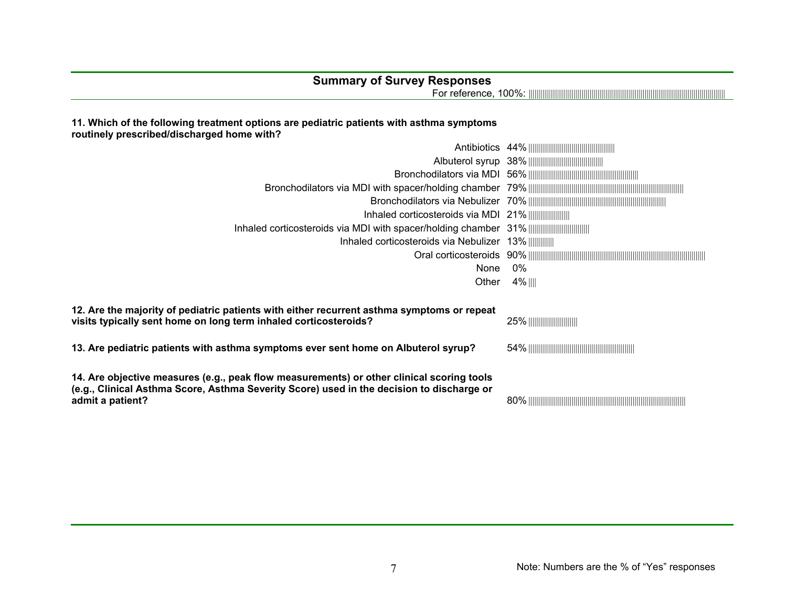## **Summary of Survey Responses**

For reference, 100%: |||||||||||||||||||||||||||||||||||||||||||||||||||||||||||||||||||||||||||||||||||||||||||||||||||| .

#### **11. Which of the following treatment options are pediatric patients with asthma symptoms routinely prescribed/discharged home with?**

| Inhaled corticosteroids via MDI 21%                                                                                                                                                                        |        |
|------------------------------------------------------------------------------------------------------------------------------------------------------------------------------------------------------------|--------|
|                                                                                                                                                                                                            |        |
| Inhaled corticosteroids via Nebulizer 13%                                                                                                                                                                  |        |
|                                                                                                                                                                                                            |        |
| None                                                                                                                                                                                                       | 0%     |
| Other                                                                                                                                                                                                      | 4%   ∥ |
|                                                                                                                                                                                                            |        |
| 12. Are the majority of pediatric patients with either recurrent asthma symptoms or repeat<br>visits typically sent home on long term inhaled corticosteroids?                                             |        |
| 13. Are pediatric patients with asthma symptoms ever sent home on Albuterol syrup?                                                                                                                         |        |
| 14. Are objective measures (e.g., peak flow measurements) or other clinical scoring tools<br>(e.g., Clinical Asthma Score, Asthma Severity Score) used in the decision to discharge or<br>admit a patient? |        |